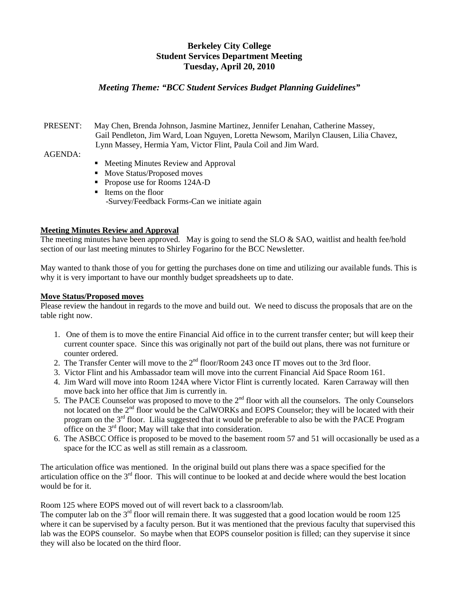# **Berkeley City College Student Services Department Meeting Tuesday, April 20, 2010**

### *Meeting Theme: "BCC Student Services Budget Planning Guidelines"*

#### PRESENT: May Chen, Brenda Johnson, Jasmine Martinez, Jennifer Lenahan, Catherine Massey, Gail Pendleton, Jim Ward, Loan Nguyen, Loretta Newsom, Marilyn Clausen, Lilia Chavez, Lynn Massey, Hermia Yam, Victor Flint, Paula Coil and Jim Ward.

#### AGENDA:

- Meeting Minutes Review and Approval
- Move Status/Proposed moves
- **Propose use for Rooms 124A-D**
- Items on the floor -Survey/Feedback Forms-Can we initiate again

#### **Meeting Minutes Review and Approval**

The meeting minutes have been approved. May is going to send the SLO  $\&$  SAO, waitlist and health fee/hold section of our last meeting minutes to Shirley Fogarino for the BCC Newsletter.

May wanted to thank those of you for getting the purchases done on time and utilizing our available funds. This is why it is very important to have our monthly budget spreadsheets up to date.

#### **Move Status/Proposed moves**

Please review the handout in regards to the move and build out. We need to discuss the proposals that are on the table right now.

- 1. One of them is to move the entire Financial Aid office in to the current transfer center; but will keep their current counter space. Since this was originally not part of the build out plans, there was not furniture or counter ordered.
- 2. The Transfer Center will move to the 2<sup>nd</sup> floor/Room 243 once IT moves out to the 3rd floor.
- 3. Victor Flint and his Ambassador team will move into the current Financial Aid Space Room 161.
- 4. Jim Ward will move into Room 124A where Victor Flint is currently located. Karen Carraway will then move back into her office that Jim is currently in.
- 5. The PACE Counselor was proposed to move to the  $2<sup>nd</sup>$  floor with all the counselors. The only Counselors not located on the 2<sup>nd</sup> floor would be the CalWORKs and EOPS Counselor; they will be located with their program on the 3rd floor. Lilia suggested that it would be preferable to also be with the PACE Program office on the 3rd floor; May will take that into consideration.
- 6. The ASBCC Office is proposed to be moved to the basement room 57 and 51 will occasionally be used as a space for the ICC as well as still remain as a classroom.

The articulation office was mentioned. In the original build out plans there was a space specified for the articulation office on the 3rd floor. This will continue to be looked at and decide where would the best location would be for it.

Room 125 where EOPS moved out of will revert back to a classroom/lab.

The computer lab on the  $3<sup>rd</sup>$  floor will remain there. It was suggested that a good location would be room 125 where it can be supervised by a faculty person. But it was mentioned that the previous faculty that supervised this lab was the EOPS counselor. So maybe when that EOPS counselor position is filled; can they supervise it since they will also be located on the third floor.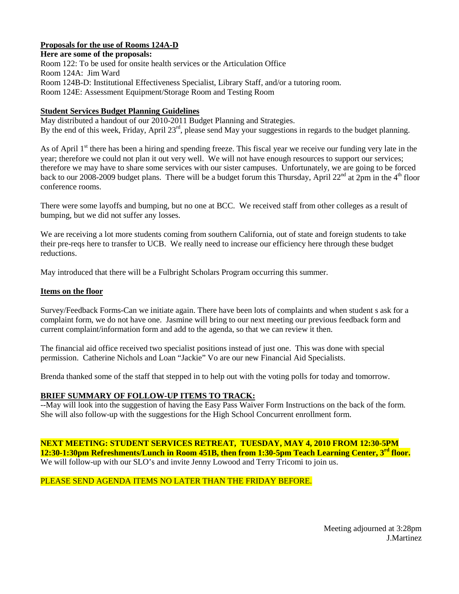#### **Proposals for the use of Rooms 124A-D**

**Here are some of the proposals:**  Room 122: To be used for onsite health services or the Articulation Office Room 124A: Jim Ward Room 124B-D: Institutional Effectiveness Specialist, Library Staff, and/or a tutoring room. Room 124E: Assessment Equipment/Storage Room and Testing Room

#### **Student Services Budget Planning Guidelines**

May distributed a handout of our 2010-2011 Budget Planning and Strategies. By the end of this week, Friday, April 23<sup>rd</sup>, please send May your suggestions in regards to the budget planning.

As of April 1<sup>st</sup> there has been a hiring and spending freeze. This fiscal year we receive our funding very late in the year; therefore we could not plan it out very well. We will not have enough resources to support our services; therefore we may have to share some services with our sister campuses. Unfortunately, we are going to be forced back to our 2008-2009 budget plans. There will be a budget forum this Thursday, April  $22^{nd}$  at  $2pm$  in the 4<sup>th</sup> floor conference rooms.

There were some layoffs and bumping, but no one at BCC. We received staff from other colleges as a result of bumping, but we did not suffer any losses.

We are receiving a lot more students coming from southern California, out of state and foreign students to take their pre-reqs here to transfer to UCB. We really need to increase our efficiency here through these budget reductions.

May introduced that there will be a Fulbright Scholars Program occurring this summer.

#### **Items on the floor**

Survey/Feedback Forms-Can we initiate again. There have been lots of complaints and when student s ask for a complaint form, we do not have one. Jasmine will bring to our next meeting our previous feedback form and current complaint/information form and add to the agenda, so that we can review it then.

The financial aid office received two specialist positions instead of just one. This was done with special permission. Catherine Nichols and Loan "Jackie" Vo are our new Financial Aid Specialists.

Brenda thanked some of the staff that stepped in to help out with the voting polls for today and tomorrow.

#### **BRIEF SUMMARY OF FOLLOW-UP ITEMS TO TRACK:**

--May will look into the suggestion of having the Easy Pass Waiver Form Instructions on the back of the form. She will also follow-up with the suggestions for the High School Concurrent enrollment form.

**NEXT MEETING: STUDENT SERVICES RETREAT, TUESDAY, MAY 4, 2010 FROM 12:30-5PM 12:30-1:30pm Refreshments/Lunch in Room 451B, then from 1:30-5pm Teach Learning Center, 3rd floor.** We will follow-up with our SLO's and invite Jenny Lowood and Terry Tricomi to join us.

#### PLEASE SEND AGENDA ITEMS NO LATER THAN THE FRIDAY BEFORE.

Meeting adjourned at 3:28pm J.Martinez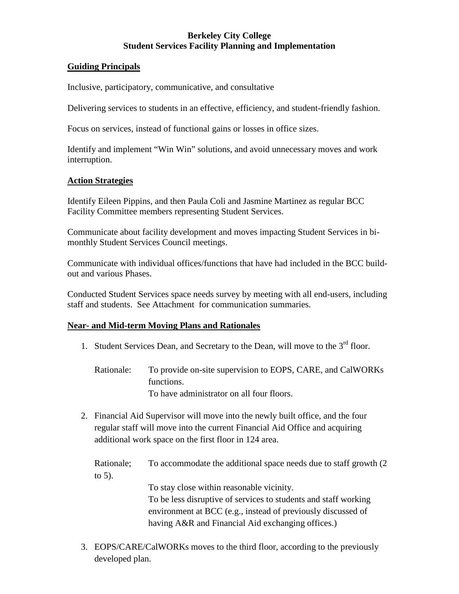# **Berkeley City College Student Services Facility Planning and Implementation**

## **Guiding Principals**

Inclusive, participatory, communicative, and consultative

Delivering services to students in an effective, efficiency, and student-friendly fashion.

Focus on services, instead of functional gains or losses in office sizes.

Identify and implement "Win Win" solutions, and avoid unnecessary moves and work interruption.

## **Action Strategies**

Identify Eileen Pippins, and then Paula Coli and Jasmine Martinez as regular BCC Facility Committee members representing Student Services.

Communicate about facility development and moves impacting Student Services in bimonthly Student Services Council meetings.

Communicate with individual offices/functions that have had included in the BCC buildout and various Phases.

Conducted Student Services space needs survey by meeting with all end-users, including staff and students. See Attachment for communication summaries.

## **Near- and Mid-term Moving Plans and Rationales**

- 1. Student Services Dean, and Secretary to the Dean, will move to the  $3<sup>rd</sup>$  floor.
	- Rationale: To provide on-site supervision to EOPS, CARE, and CalWORKs functions. To have administrator on all four floors.
- 2. Financial Aid Supervisor will move into the newly built office, and the four regular staff will move into the current Financial Aid Office and acquiring additional work space on the first floor in 124 area.

Rationale; To accommodate the additional space needs due to staff growth (2 to 5).

To stay close within reasonable vicinity.

To be less disruptive of services to students and staff working environment at BCC (e.g., instead of previously discussed of having A&R and Financial Aid exchanging offices.)

3. EOPS/CARE/CalWORKs moves to the third floor, according to the previously developed plan.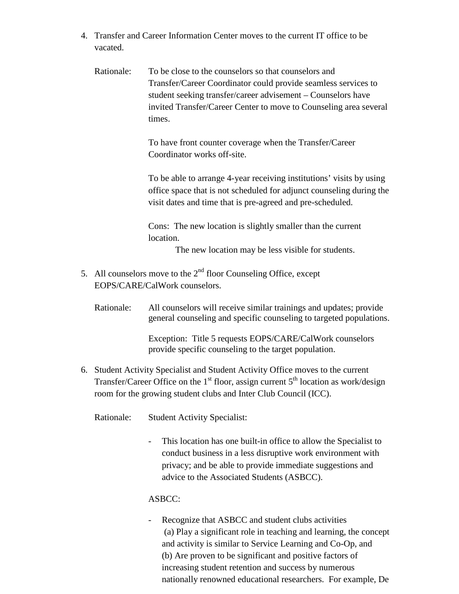- 4. Transfer and Career Information Center moves to the current IT office to be vacated.
	- Rationale: To be close to the counselors so that counselors and Transfer/Career Coordinator could provide seamless services to student seeking transfer/career advisement – Counselors have invited Transfer/Career Center to move to Counseling area several times.

To have front counter coverage when the Transfer/Career Coordinator works off-site.

To be able to arrange 4-year receiving institutions' visits by using office space that is not scheduled for adjunct counseling during the visit dates and time that is pre-agreed and pre-scheduled.

Cons: The new location is slightly smaller than the current location.

The new location may be less visible for students.

- 5. All counselors move to the  $2<sup>nd</sup>$  floor Counseling Office, except EOPS/CARE/CalWork counselors.
	- Rationale: All counselors will receive similar trainings and updates; provide general counseling and specific counseling to targeted populations.

Exception: Title 5 requests EOPS/CARE/CalWork counselors provide specific counseling to the target population.

6. Student Activity Specialist and Student Activity Office moves to the current Transfer/Career Office on the  $1<sup>st</sup>$  floor, assign current  $5<sup>th</sup>$  location as work/design room for the growing student clubs and Inter Club Council (ICC).

Rationale: Student Activity Specialist:

This location has one built-in office to allow the Specialist to conduct business in a less disruptive work environment with privacy; and be able to provide immediate suggestions and advice to the Associated Students (ASBCC).

# ASBCC:

- Recognize that ASBCC and student clubs activities (a) Play a significant role in teaching and learning, the concept and activity is similar to Service Learning and Co-Op, and (b) Are proven to be significant and positive factors of increasing student retention and success by numerous nationally renowned educational researchers. For example, De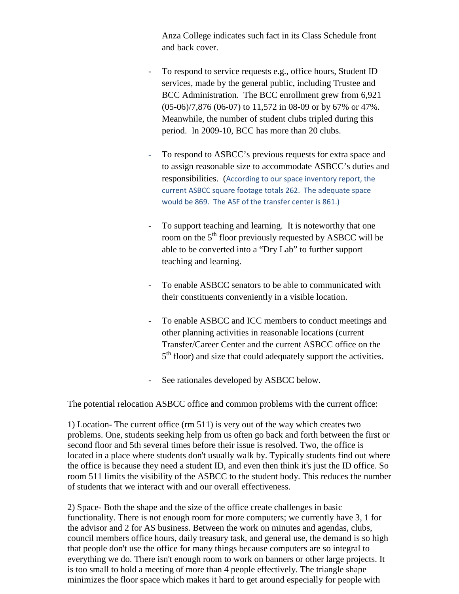Anza College indicates such fact in its Class Schedule front and back cover.

- To respond to service requests e.g., office hours, Student ID services, made by the general public, including Trustee and BCC Administration. The BCC enrollment grew from 6,921 (05-06)/7,876 (06-07) to 11,572 in 08-09 or by 67% or 47%. Meanwhile, the number of student clubs tripled during this period. In 2009-10, BCC has more than 20 clubs.
- To respond to ASBCC's previous requests for extra space and to assign reasonable size to accommodate ASBCC's duties and responsibilities. (According to our space inventory report, the current ASBCC square footage totals 262. The adequate space would be 869. The ASF of the transfer center is 861.)
- To support teaching and learning. It is noteworthy that one room on the 5<sup>th</sup> floor previously requested by ASBCC will be able to be converted into a "Dry Lab" to further support teaching and learning.
- To enable ASBCC senators to be able to communicated with their constituents conveniently in a visible location.
- To enable ASBCC and ICC members to conduct meetings and other planning activities in reasonable locations (current Transfer/Career Center and the current ASBCC office on the  $5<sup>th</sup>$  floor) and size that could adequately support the activities.
- See rationales developed by ASBCC below.

The potential relocation ASBCC office and common problems with the current office:

1) Location- The current office (rm 511) is very out of the way which creates two problems. One, students seeking help from us often go back and forth between the first or second floor and 5th several times before their issue is resolved. Two, the office is located in a place where students don't usually walk by. Typically students find out where the office is because they need a student ID, and even then think it's just the ID office. So room 511 limits the visibility of the ASBCC to the student body. This reduces the number of students that we interact with and our overall effectiveness.

2) Space- Both the shape and the size of the office create challenges in basic functionality. There is not enough room for more computers; we currently have 3, 1 for the advisor and 2 for AS business. Between the work on minutes and agendas, clubs, council members office hours, daily treasury task, and general use, the demand is so high that people don't use the office for many things because computers are so integral to everything we do. There isn't enough room to work on banners or other large projects. It is too small to hold a meeting of more than 4 people effectively. The triangle shape minimizes the floor space which makes it hard to get around especially for people with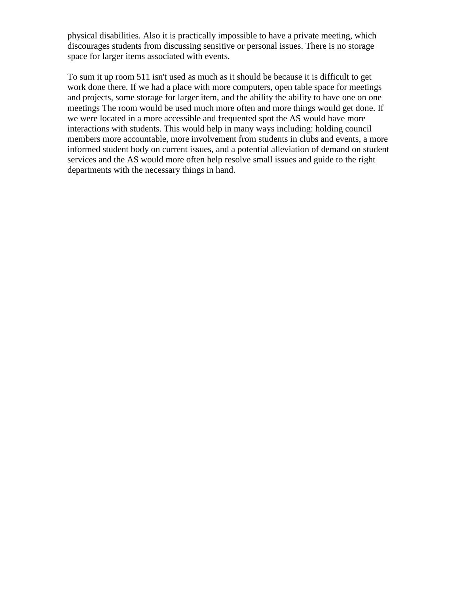physical disabilities. Also it is practically impossible to have a private meeting, which discourages students from discussing sensitive or personal issues. There is no storage space for larger items associated with events.

To sum it up room 511 isn't used as much as it should be because it is difficult to get work done there. If we had a place with more computers, open table space for meetings and projects, some storage for larger item, and the ability the ability to have one on one meetings The room would be used much more often and more things would get done. If we were located in a more accessible and frequented spot the AS would have more interactions with students. This would help in many ways including: holding council members more accountable, more involvement from students in clubs and events, a more informed student body on current issues, and a potential alleviation of demand on student services and the AS would more often help resolve small issues and guide to the right departments with the necessary things in hand.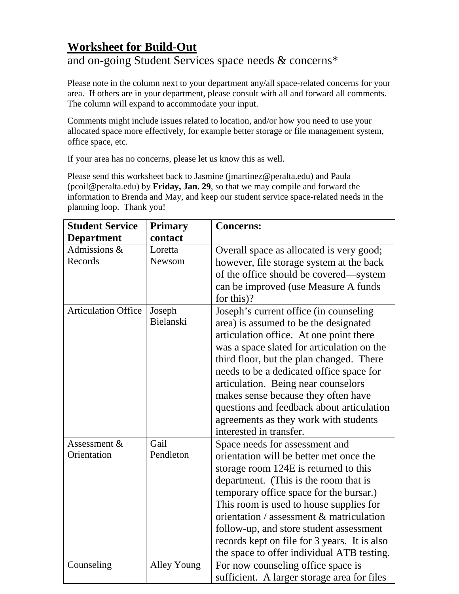# **Worksheet for Build-Out** and on-going Student Services space needs & concerns\*

Please note in the column next to your department any/all space-related concerns for your area. If others are in your department, please consult with all and forward all comments. The column will expand to accommodate your input.

Comments might include issues related to location, and/or how you need to use your allocated space more effectively, for example better storage or file management system, office space, etc.

If your area has no concerns, please let us know this as well.

Please send this worksheet back to Jasmine (jmartinez@peralta.edu) and Paula (pcoil@peralta.edu) by **Friday, Jan. 29**, so that we may compile and forward the information to Brenda and May, and keep our student service space-related needs in the planning loop. Thank you!

| <b>Student Service</b>      | <b>Primary</b>      | <b>Concerns:</b>                                                                                                                                                                                                                                                                                                                                                                                                                                                |
|-----------------------------|---------------------|-----------------------------------------------------------------------------------------------------------------------------------------------------------------------------------------------------------------------------------------------------------------------------------------------------------------------------------------------------------------------------------------------------------------------------------------------------------------|
| <b>Department</b>           | contact             |                                                                                                                                                                                                                                                                                                                                                                                                                                                                 |
| Admissions &<br>Records     | Loretta<br>Newsom   | Overall space as allocated is very good;<br>however, file storage system at the back<br>of the office should be covered—system<br>can be improved (use Measure A funds<br>for this)?                                                                                                                                                                                                                                                                            |
| <b>Articulation Office</b>  | Joseph<br>Bielanski | Joseph's current office (in counseling<br>area) is assumed to be the designated<br>articulation office. At one point there<br>was a space slated for articulation on the<br>third floor, but the plan changed. There<br>needs to be a dedicated office space for<br>articulation. Being near counselors<br>makes sense because they often have<br>questions and feedback about articulation<br>agreements as they work with students<br>interested in transfer. |
| Assessment &<br>Orientation | Gail<br>Pendleton   | Space needs for assessment and<br>orientation will be better met once the<br>storage room 124E is returned to this<br>department. (This is the room that is<br>temporary office space for the bursar.)<br>This room is used to house supplies for<br>orientation / assessment & matriculation<br>follow-up, and store student assessment<br>records kept on file for 3 years. It is also<br>the space to offer individual ATB testing.                          |
| Counseling                  | <b>Alley Young</b>  | For now counseling office space is<br>sufficient. A larger storage area for files                                                                                                                                                                                                                                                                                                                                                                               |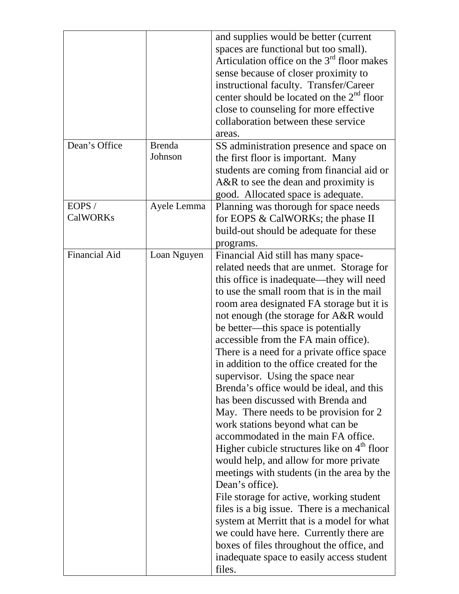|                          |                          | and supplies would be better (current<br>spaces are functional but too small).<br>Articulation office on the $3rd$ floor makes<br>sense because of closer proximity to<br>instructional faculty. Transfer/Career<br>center should be located on the $2nd$ floor<br>close to counseling for more effective<br>collaboration between these service<br>areas.                                                                                                                                                                                                                                                                                                                                                                                                                                                                                                                                                                                                                                                                                                                                                                                         |
|--------------------------|--------------------------|----------------------------------------------------------------------------------------------------------------------------------------------------------------------------------------------------------------------------------------------------------------------------------------------------------------------------------------------------------------------------------------------------------------------------------------------------------------------------------------------------------------------------------------------------------------------------------------------------------------------------------------------------------------------------------------------------------------------------------------------------------------------------------------------------------------------------------------------------------------------------------------------------------------------------------------------------------------------------------------------------------------------------------------------------------------------------------------------------------------------------------------------------|
| Dean's Office            | <b>Brenda</b><br>Johnson | SS administration presence and space on<br>the first floor is important. Many<br>students are coming from financial aid or<br>$A&R$ to see the dean and proximity is<br>good. Allocated space is adequate.                                                                                                                                                                                                                                                                                                                                                                                                                                                                                                                                                                                                                                                                                                                                                                                                                                                                                                                                         |
| EOPS/<br><b>CalWORKs</b> | Ayele Lemma              | Planning was thorough for space needs<br>for EOPS & CalWORKs; the phase II<br>build-out should be adequate for these<br>programs.                                                                                                                                                                                                                                                                                                                                                                                                                                                                                                                                                                                                                                                                                                                                                                                                                                                                                                                                                                                                                  |
| <b>Financial Aid</b>     | Loan Nguyen              | Financial Aid still has many space-<br>related needs that are unmet. Storage for<br>this office is inadequate—they will need<br>to use the small room that is in the mail<br>room area designated FA storage but it is<br>not enough (the storage for A&R would<br>be better—this space is potentially<br>accessible from the FA main office).<br>There is a need for a private office space<br>in addition to the office created for the<br>supervisor. Using the space near<br>Brenda's office would be ideal, and this<br>has been discussed with Brenda and<br>May. There needs to be provision for 2<br>work stations beyond what can be<br>accommodated in the main FA office.<br>Higher cubicle structures like on 4 <sup>th</sup> floor<br>would help, and allow for more private<br>meetings with students (in the area by the<br>Dean's office).<br>File storage for active, working student<br>files is a big issue. There is a mechanical<br>system at Merritt that is a model for what<br>we could have here. Currently there are<br>boxes of files throughout the office, and<br>inadequate space to easily access student<br>files. |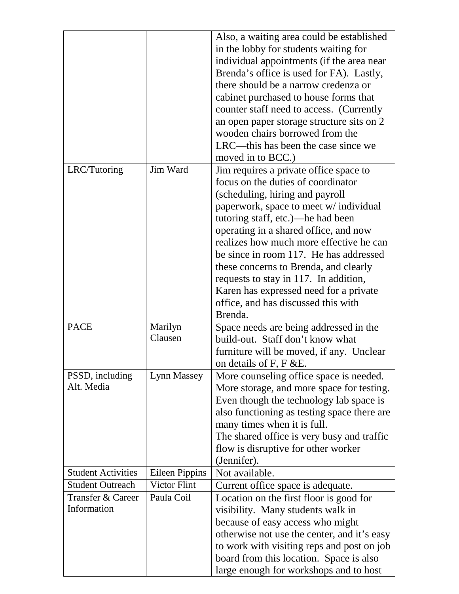|                           |                       | Also, a waiting area could be established   |
|---------------------------|-----------------------|---------------------------------------------|
|                           |                       | in the lobby for students waiting for       |
|                           |                       | individual appointments (if the area near   |
|                           |                       | Brenda's office is used for FA). Lastly,    |
|                           |                       | there should be a narrow credenza or        |
|                           |                       | cabinet purchased to house forms that       |
|                           |                       | counter staff need to access. (Currently    |
|                           |                       | an open paper storage structure sits on 2   |
|                           |                       | wooden chairs borrowed from the             |
|                           |                       | LRC—this has been the case since we         |
|                           |                       | moved in to BCC.)                           |
| LRC/Tutoring              | Jim Ward              | Jim requires a private office space to      |
|                           |                       | focus on the duties of coordinator          |
|                           |                       | (scheduling, hiring and payroll             |
|                           |                       | paperwork, space to meet w/ individual      |
|                           |                       | tutoring staff, etc.)—he had been           |
|                           |                       | operating in a shared office, and now       |
|                           |                       | realizes how much more effective he can     |
|                           |                       | be since in room 117. He has addressed      |
|                           |                       | these concerns to Brenda, and clearly       |
|                           |                       | requests to stay in 117. In addition,       |
|                           |                       | Karen has expressed need for a private      |
|                           |                       | office, and has discussed this with         |
|                           |                       | Brenda.                                     |
| <b>PACE</b>               | Marilyn               | Space needs are being addressed in the      |
|                           | Clausen               | build-out. Staff don't know what            |
|                           |                       | furniture will be moved, if any. Unclear    |
|                           |                       | on details of F, F & E.                     |
| PSSD, including           | Lynn Massey           | More counseling office space is needed.     |
| Alt. Media                |                       | More storage, and more space for testing.   |
|                           |                       | Even though the technology lab space is     |
|                           |                       | also functioning as testing space there are |
|                           |                       | many times when it is full.                 |
|                           |                       | The shared office is very busy and traffic  |
|                           |                       | flow is disruptive for other worker         |
|                           |                       | (Jennifer).                                 |
| <b>Student Activities</b> | <b>Eileen Pippins</b> | Not available.                              |
| <b>Student Outreach</b>   | <b>Victor Flint</b>   | Current office space is adequate.           |
| Transfer & Career         | Paula Coil            | Location on the first floor is good for     |
| Information               |                       | visibility. Many students walk in           |
|                           |                       | because of easy access who might            |
|                           |                       | otherwise not use the center, and it's easy |
|                           |                       | to work with visiting reps and post on job  |
|                           |                       | board from this location. Space is also     |
|                           |                       | large enough for workshops and to host      |